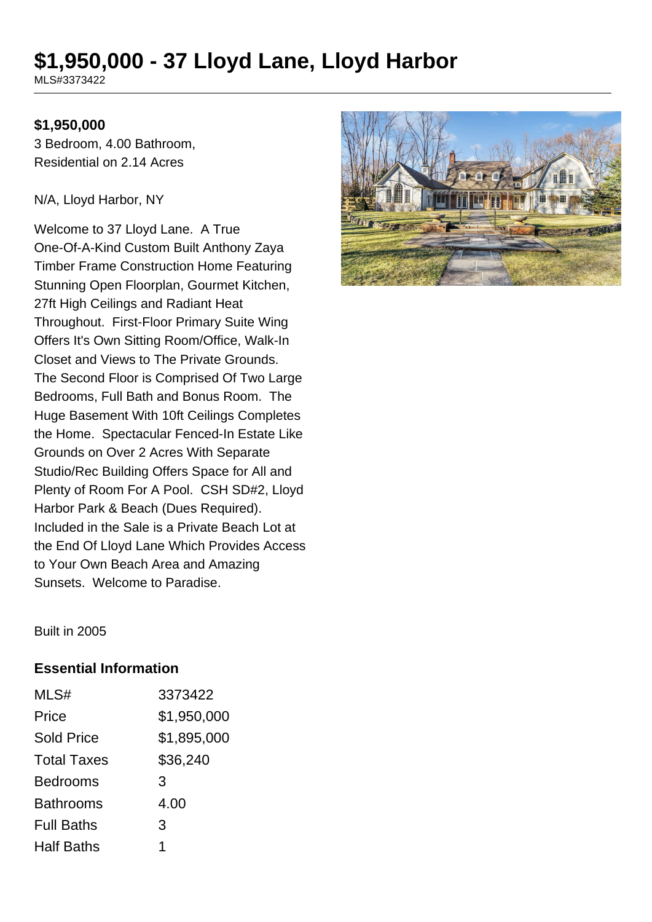# **\$1,950,000 - 37 Lloyd Lane, Lloyd Harbor**

MLS#3373422

#### **\$1,950,000**

3 Bedroom, 4.00 Bathroom, Residential on 2.14 Acres

N/A, Lloyd Harbor, NY

Welcome to 37 Lloyd Lane. A True One-Of-A-Kind Custom Built Anthony Zaya Timber Frame Construction Home Featuring Stunning Open Floorplan, Gourmet Kitchen, 27ft High Ceilings and Radiant Heat Throughout. First-Floor Primary Suite Wing Offers It's Own Sitting Room/Office, Walk-In Closet and Views to The Private Grounds. The Second Floor is Comprised Of Two Large Bedrooms, Full Bath and Bonus Room. The Huge Basement With 10ft Ceilings Completes the Home. Spectacular Fenced-In Estate Like Grounds on Over 2 Acres With Separate Studio/Rec Building Offers Space for All and Plenty of Room For A Pool. CSH SD#2, Lloyd Harbor Park & Beach (Dues Required). Included in the Sale is a Private Beach Lot at the End Of Lloyd Lane Which Provides Access to Your Own Beach Area and Amazing Sunsets. Welcome to Paradise.



Built in 2005

#### **Essential Information**

| MLS#               | 3373422     |
|--------------------|-------------|
| Price              | \$1,950,000 |
| <b>Sold Price</b>  | \$1,895,000 |
| <b>Total Taxes</b> | \$36,240    |
| <b>Bedrooms</b>    | 3           |
| <b>Bathrooms</b>   | 4.00        |
| <b>Full Baths</b>  | 3           |
| <b>Half Baths</b>  | 1           |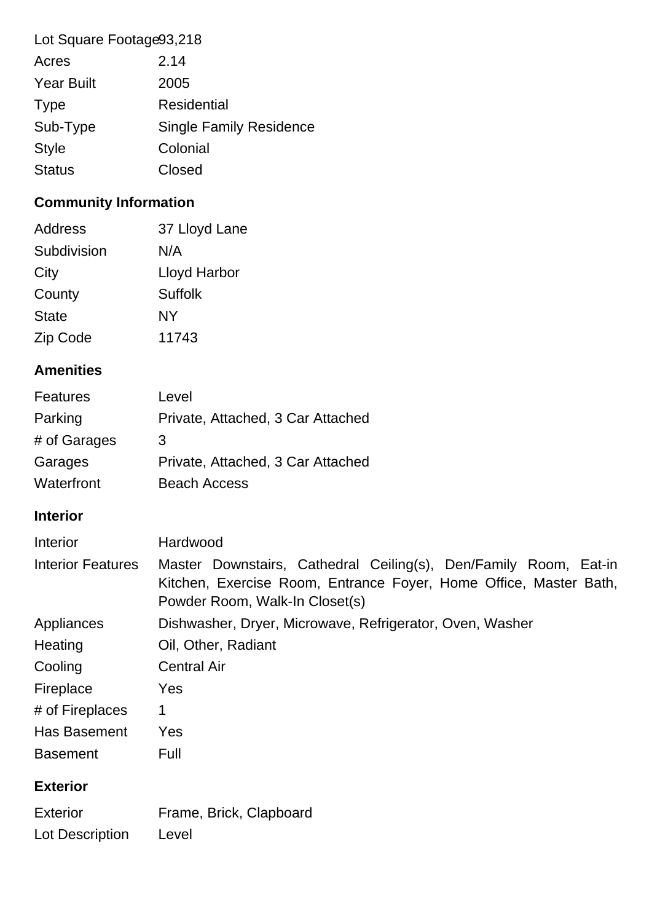| Lot Square Footage93,218 |                                |  |
|--------------------------|--------------------------------|--|
| Acres                    | 2.14                           |  |
| <b>Year Built</b>        | 2005                           |  |
| <b>Type</b>              | <b>Residential</b>             |  |
| Sub-Type                 | <b>Single Family Residence</b> |  |
| <b>Style</b>             | Colonial                       |  |
| <b>Status</b>            | Closed                         |  |

# **Community Information**

| <b>Address</b> | 37 Lloyd Lane  |
|----------------|----------------|
| Subdivision    | N/A            |
| City           | Lloyd Harbor   |
| County         | <b>Suffolk</b> |
| <b>State</b>   | NY             |
| Zip Code       | 11743          |

# **Amenities**

| <b>Features</b> | Level                             |
|-----------------|-----------------------------------|
| Parking         | Private, Attached, 3 Car Attached |
| # of Garages    | 3                                 |
| Garages         | Private, Attached, 3 Car Attached |
| Waterfront      | <b>Beach Access</b>               |

## **Interior**

| Interior                 | Hardwood                                                                                                                                                                |
|--------------------------|-------------------------------------------------------------------------------------------------------------------------------------------------------------------------|
| <b>Interior Features</b> | Master Downstairs, Cathedral Ceiling(s), Den/Family Room, Eat-in<br>Kitchen, Exercise Room, Entrance Foyer, Home Office, Master Bath,<br>Powder Room, Walk-In Closet(s) |
| Appliances               | Dishwasher, Dryer, Microwave, Refrigerator, Oven, Washer                                                                                                                |
| Heating                  | Oil, Other, Radiant                                                                                                                                                     |
| Cooling                  | <b>Central Air</b>                                                                                                                                                      |
| Fireplace                | Yes                                                                                                                                                                     |
| # of Fireplaces          | 1                                                                                                                                                                       |
| <b>Has Basement</b>      | Yes                                                                                                                                                                     |
| <b>Basement</b>          | Full                                                                                                                                                                    |

## **Exterior**

| <b>Exterior</b> | Frame, Brick, Clapboard |
|-----------------|-------------------------|
| Lot Description | Level                   |